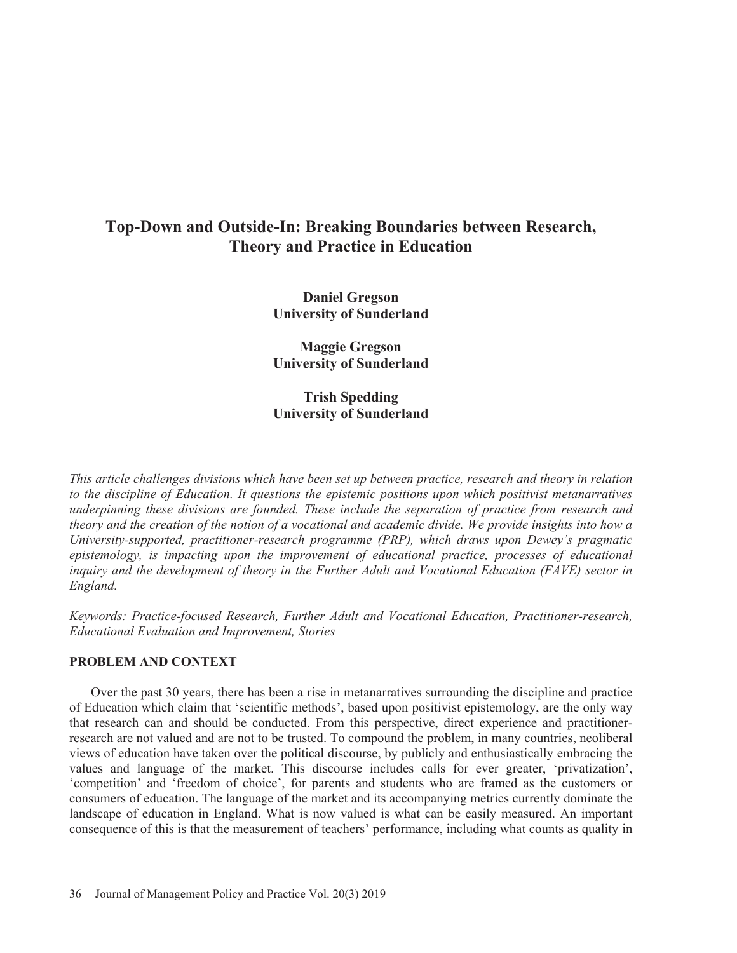# **Top-Down and Outside-In: Breaking Boundaries between Research, Theory and Practice in Education**

**Daniel Gregson University of Sunderland** 

**Maggie Gregson University of Sunderland** 

**Trish Spedding University of Sunderland** 

*This article challenges divisions which have been set up between practice, research and theory in relation to the discipline of Education. It questions the epistemic positions upon which positivist metanarratives underpinning these divisions are founded. These include the separation of practice from research and theory and the creation of the notion of a vocational and academic divide. We provide insights into how a University-supported, practitioner-research programme (PRP), which draws upon Dewey's pragmatic epistemology, is impacting upon the improvement of educational practice, processes of educational inquiry and the development of theory in the Further Adult and Vocational Education (FAVE) sector in England.* 

*Keywords: Practice-focused Research, Further Adult and Vocational Education, Practitioner-research, Educational Evaluation and Improvement, Stories* 

# **PROBLEM AND CONTEXT**

Over the past 30 years, there has been a rise in metanarratives surrounding the discipline and practice of Education which claim that 'scientific methods', based upon positivist epistemology, are the only way that research can and should be conducted. From this perspective, direct experience and practitionerresearch are not valued and are not to be trusted. To compound the problem, in many countries, neoliberal views of education have taken over the political discourse, by publicly and enthusiastically embracing the values and language of the market. This discourse includes calls for ever greater, 'privatization', 'competition' and 'freedom of choice', for parents and students who are framed as the customers or consumers of education. The language of the market and its accompanying metrics currently dominate the landscape of education in England. What is now valued is what can be easily measured. An important consequence of this is that the measurement of teachers' performance, including what counts as quality in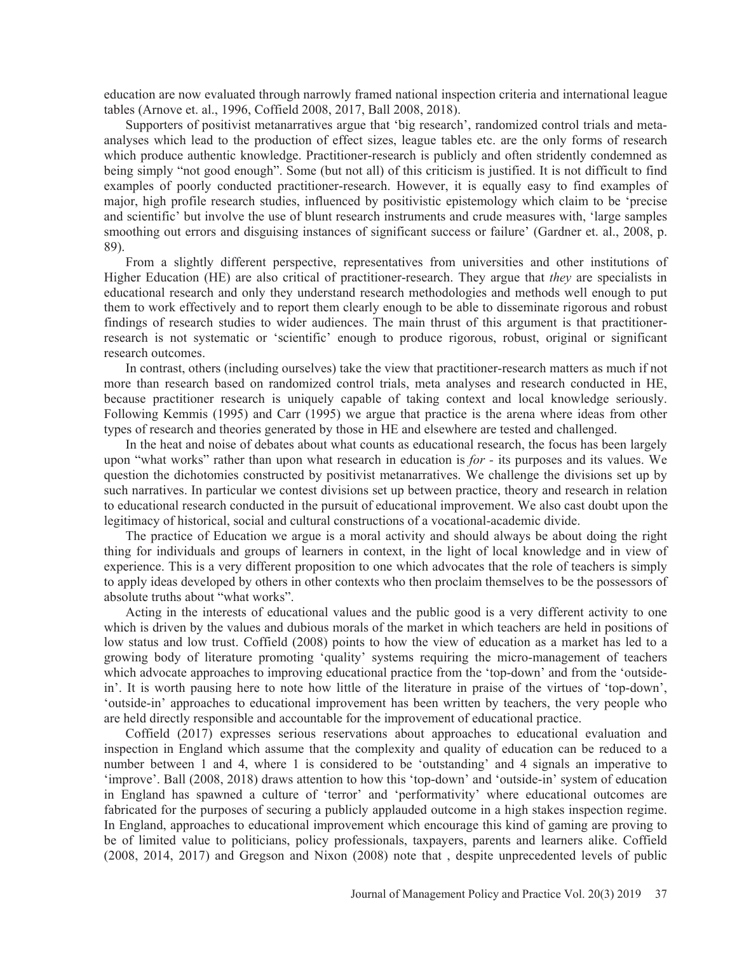education are now evaluated through narrowly framed national inspection criteria and international league tables (Arnove et. al., 1996, Coffield 2008, 2017, Ball 2008, 2018).

Supporters of positivist metanarratives argue that 'big research', randomized control trials and metaanalyses which lead to the production of effect sizes, league tables etc. are the only forms of research which produce authentic knowledge. Practitioner-research is publicly and often stridently condemned as being simply "not good enough". Some (but not all) of this criticism is justified. It is not difficult to find examples of poorly conducted practitioner-research. However, it is equally easy to find examples of major, high profile research studies, influenced by positivistic epistemology which claim to be 'precise and scientific' but involve the use of blunt research instruments and crude measures with, 'large samples smoothing out errors and disguising instances of significant success or failure' (Gardner et. al., 2008, p. 89).

From a slightly different perspective, representatives from universities and other institutions of Higher Education (HE) are also critical of practitioner-research. They argue that *they* are specialists in educational research and only they understand research methodologies and methods well enough to put them to work effectively and to report them clearly enough to be able to disseminate rigorous and robust findings of research studies to wider audiences. The main thrust of this argument is that practitionerresearch is not systematic or 'scientific' enough to produce rigorous, robust, original or significant research outcomes.

In contrast, others (including ourselves) take the view that practitioner-research matters as much if not more than research based on randomized control trials, meta analyses and research conducted in HE, because practitioner research is uniquely capable of taking context and local knowledge seriously. Following Kemmis (1995) and Carr (1995) we argue that practice is the arena where ideas from other types of research and theories generated by those in HE and elsewhere are tested and challenged.

In the heat and noise of debates about what counts as educational research, the focus has been largely upon "what works" rather than upon what research in education is *for -* its purposes and its values. We question the dichotomies constructed by positivist metanarratives. We challenge the divisions set up by such narratives. In particular we contest divisions set up between practice, theory and research in relation to educational research conducted in the pursuit of educational improvement. We also cast doubt upon the legitimacy of historical, social and cultural constructions of a vocational-academic divide.

The practice of Education we argue is a moral activity and should always be about doing the right thing for individuals and groups of learners in context, in the light of local knowledge and in view of experience. This is a very different proposition to one which advocates that the role of teachers is simply to apply ideas developed by others in other contexts who then proclaim themselves to be the possessors of absolute truths about "what works".

Acting in the interests of educational values and the public good is a very different activity to one which is driven by the values and dubious morals of the market in which teachers are held in positions of low status and low trust. Coffield (2008) points to how the view of education as a market has led to a growing body of literature promoting 'quality' systems requiring the micro-management of teachers which advocate approaches to improving educational practice from the 'top-down' and from the 'outsidein'. It is worth pausing here to note how little of the literature in praise of the virtues of 'top-down', 'outside-in' approaches to educational improvement has been written by teachers, the very people who are held directly responsible and accountable for the improvement of educational practice.

Coffield (2017) expresses serious reservations about approaches to educational evaluation and inspection in England which assume that the complexity and quality of education can be reduced to a number between 1 and 4, where 1 is considered to be 'outstanding' and 4 signals an imperative to 'improve'. Ball (2008, 2018) draws attention to how this 'top-down' and 'outside-in' system of education in England has spawned a culture of 'terror' and 'performativity' where educational outcomes are fabricated for the purposes of securing a publicly applauded outcome in a high stakes inspection regime. In England, approaches to educational improvement which encourage this kind of gaming are proving to be of limited value to politicians, policy professionals, taxpayers, parents and learners alike. Coffield (2008, 2014, 2017) and Gregson and Nixon (2008) note that , despite unprecedented levels of public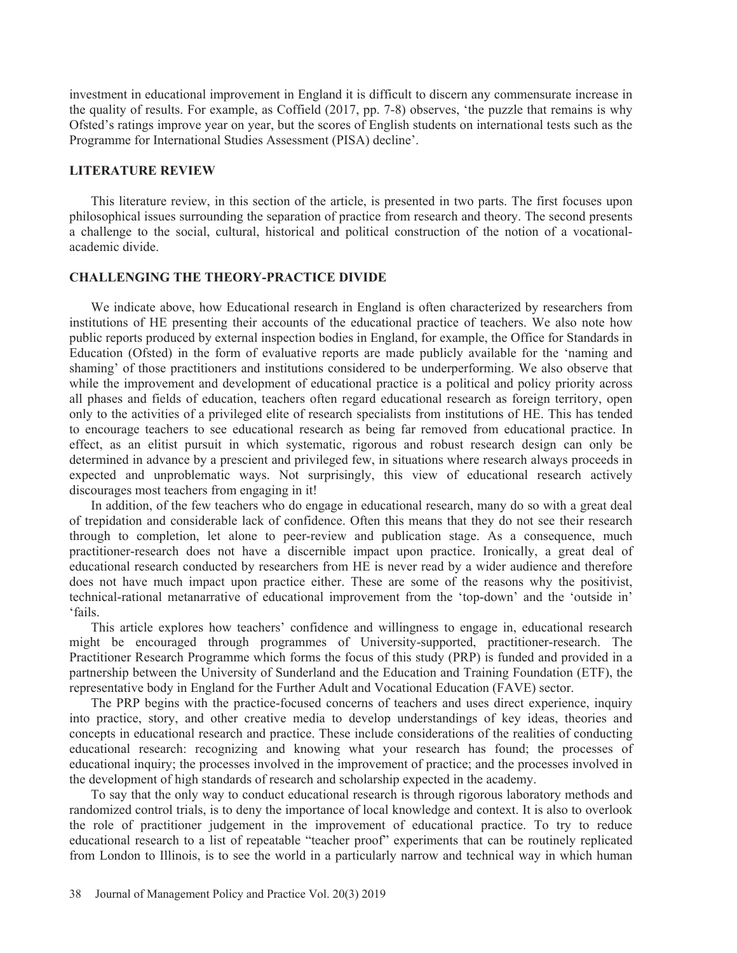investment in educational improvement in England it is difficult to discern any commensurate increase in the quality of results. For example, as Coffield (2017, pp. 7-8) observes, 'the puzzle that remains is why Ofsted's ratings improve year on year, but the scores of English students on international tests such as the Programme for International Studies Assessment (PISA) decline'.

#### **LITERATURE REVIEW**

This literature review, in this section of the article, is presented in two parts. The first focuses upon philosophical issues surrounding the separation of practice from research and theory. The second presents a challenge to the social, cultural, historical and political construction of the notion of a vocationalacademic divide.

# **CHALLENGING THE THEORY-PRACTICE DIVIDE**

We indicate above, how Educational research in England is often characterized by researchers from institutions of HE presenting their accounts of the educational practice of teachers. We also note how public reports produced by external inspection bodies in England, for example, the Office for Standards in Education (Ofsted) in the form of evaluative reports are made publicly available for the 'naming and shaming' of those practitioners and institutions considered to be underperforming. We also observe that while the improvement and development of educational practice is a political and policy priority across all phases and fields of education, teachers often regard educational research as foreign territory, open only to the activities of a privileged elite of research specialists from institutions of HE. This has tended to encourage teachers to see educational research as being far removed from educational practice. In effect, as an elitist pursuit in which systematic, rigorous and robust research design can only be determined in advance by a prescient and privileged few, in situations where research always proceeds in expected and unproblematic ways. Not surprisingly, this view of educational research actively discourages most teachers from engaging in it!

In addition, of the few teachers who do engage in educational research, many do so with a great deal of trepidation and considerable lack of confidence. Often this means that they do not see their research through to completion, let alone to peer-review and publication stage. As a consequence, much practitioner-research does not have a discernible impact upon practice. Ironically, a great deal of educational research conducted by researchers from HE is never read by a wider audience and therefore does not have much impact upon practice either. These are some of the reasons why the positivist, technical-rational metanarrative of educational improvement from the 'top-down' and the 'outside in' 'fails.

This article explores how teachers' confidence and willingness to engage in, educational research might be encouraged through programmes of University-supported, practitioner-research. The Practitioner Research Programme which forms the focus of this study (PRP) is funded and provided in a partnership between the University of Sunderland and the Education and Training Foundation (ETF), the representative body in England for the Further Adult and Vocational Education (FAVE) sector.

The PRP begins with the practice-focused concerns of teachers and uses direct experience, inquiry into practice, story, and other creative media to develop understandings of key ideas, theories and concepts in educational research and practice. These include considerations of the realities of conducting educational research: recognizing and knowing what your research has found; the processes of educational inquiry; the processes involved in the improvement of practice; and the processes involved in the development of high standards of research and scholarship expected in the academy.

To say that the only way to conduct educational research is through rigorous laboratory methods and randomized control trials, is to deny the importance of local knowledge and context. It is also to overlook the role of practitioner judgement in the improvement of educational practice. To try to reduce educational research to a list of repeatable "teacher proof" experiments that can be routinely replicated from London to Illinois, is to see the world in a particularly narrow and technical way in which human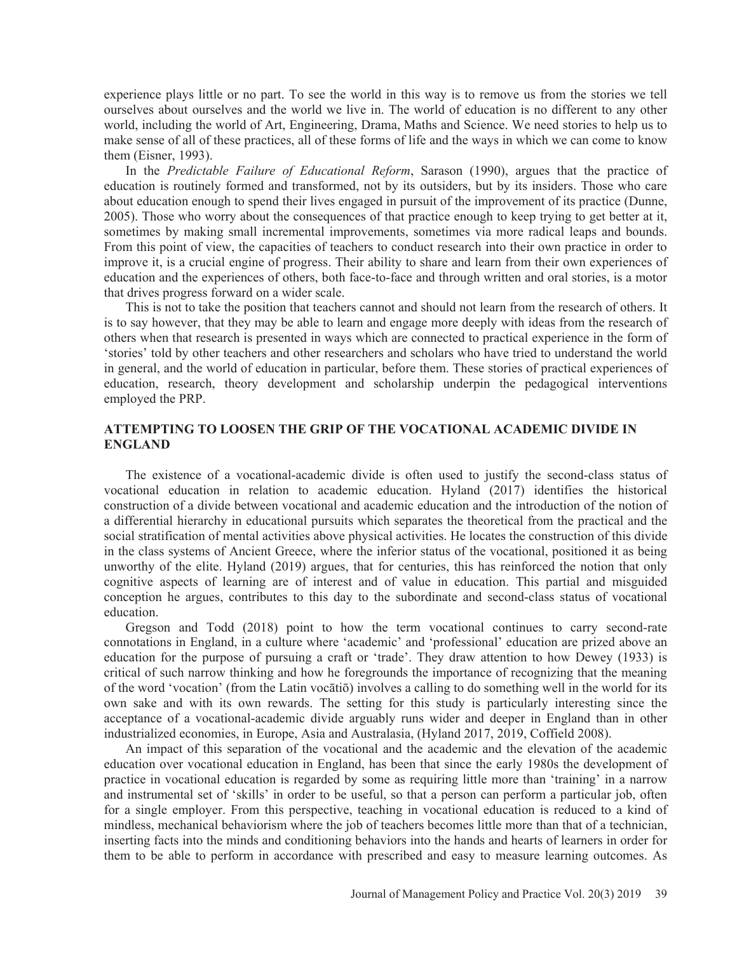experience plays little or no part. To see the world in this way is to remove us from the stories we tell ourselves about ourselves and the world we live in. The world of education is no different to any other world, including the world of Art, Engineering, Drama, Maths and Science. We need stories to help us to make sense of all of these practices, all of these forms of life and the ways in which we can come to know them (Eisner, 1993).

In the *Predictable Failure of Educational Reform*, Sarason (1990), argues that the practice of education is routinely formed and transformed, not by its outsiders, but by its insiders. Those who care about education enough to spend their lives engaged in pursuit of the improvement of its practice (Dunne, 2005). Those who worry about the consequences of that practice enough to keep trying to get better at it, sometimes by making small incremental improvements, sometimes via more radical leaps and bounds. From this point of view, the capacities of teachers to conduct research into their own practice in order to improve it, is a crucial engine of progress. Their ability to share and learn from their own experiences of education and the experiences of others, both face-to-face and through written and oral stories, is a motor that drives progress forward on a wider scale.

This is not to take the position that teachers cannot and should not learn from the research of others. It is to say however, that they may be able to learn and engage more deeply with ideas from the research of others when that research is presented in ways which are connected to practical experience in the form of 'stories' told by other teachers and other researchers and scholars who have tried to understand the world in general, and the world of education in particular, before them. These stories of practical experiences of education, research, theory development and scholarship underpin the pedagogical interventions employed the PRP.

# **ATTEMPTING TO LOOSEN THE GRIP OF THE VOCATIONAL ACADEMIC DIVIDE IN ENGLAND**

The existence of a vocational-academic divide is often used to justify the second-class status of vocational education in relation to academic education. Hyland (2017) identifies the historical construction of a divide between vocational and academic education and the introduction of the notion of a differential hierarchy in educational pursuits which separates the theoretical from the practical and the social stratification of mental activities above physical activities. He locates the construction of this divide in the class systems of Ancient Greece, where the inferior status of the vocational, positioned it as being unworthy of the elite. Hyland (2019) argues, that for centuries, this has reinforced the notion that only cognitive aspects of learning are of interest and of value in education. This partial and misguided conception he argues, contributes to this day to the subordinate and second-class status of vocational education.

Gregson and Todd (2018) point to how the term vocational continues to carry second-rate connotations in England, in a culture where 'academic' and 'professional' education are prized above an education for the purpose of pursuing a craft or 'trade'. They draw attention to how Dewey (1933) is critical of such narrow thinking and how he foregrounds the importance of recognizing that the meaning of the word 'vocation' (from the Latin vocātiō) involves a calling to do something well in the world for its own sake and with its own rewards. The setting for this study is particularly interesting since the acceptance of a vocational-academic divide arguably runs wider and deeper in England than in other industrialized economies, in Europe, Asia and Australasia, (Hyland 2017, 2019, Coffield 2008).

An impact of this separation of the vocational and the academic and the elevation of the academic education over vocational education in England, has been that since the early 1980s the development of practice in vocational education is regarded by some as requiring little more than 'training' in a narrow and instrumental set of 'skills' in order to be useful, so that a person can perform a particular job, often for a single employer. From this perspective, teaching in vocational education is reduced to a kind of mindless, mechanical behaviorism where the job of teachers becomes little more than that of a technician, inserting facts into the minds and conditioning behaviors into the hands and hearts of learners in order for them to be able to perform in accordance with prescribed and easy to measure learning outcomes. As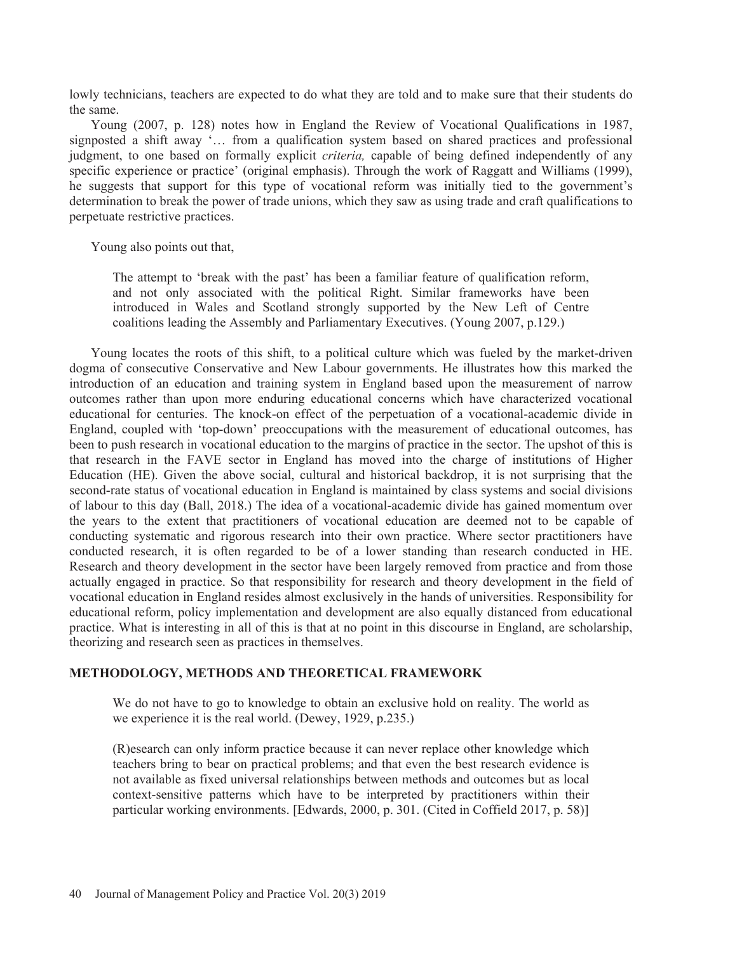lowly technicians, teachers are expected to do what they are told and to make sure that their students do the same.

Young (2007, p. 128) notes how in England the Review of Vocational Qualifications in 1987, signposted a shift away '… from a qualification system based on shared practices and professional judgment, to one based on formally explicit *criteria,* capable of being defined independently of any specific experience or practice' (original emphasis). Through the work of Raggatt and Williams (1999), he suggests that support for this type of vocational reform was initially tied to the government's determination to break the power of trade unions, which they saw as using trade and craft qualifications to perpetuate restrictive practices.

Young also points out that,

The attempt to 'break with the past' has been a familiar feature of qualification reform, and not only associated with the political Right. Similar frameworks have been introduced in Wales and Scotland strongly supported by the New Left of Centre coalitions leading the Assembly and Parliamentary Executives. (Young 2007, p.129.)

Young locates the roots of this shift, to a political culture which was fueled by the market-driven dogma of consecutive Conservative and New Labour governments. He illustrates how this marked the introduction of an education and training system in England based upon the measurement of narrow outcomes rather than upon more enduring educational concerns which have characterized vocational educational for centuries. The knock-on effect of the perpetuation of a vocational-academic divide in England, coupled with 'top-down' preoccupations with the measurement of educational outcomes, has been to push research in vocational education to the margins of practice in the sector. The upshot of this is that research in the FAVE sector in England has moved into the charge of institutions of Higher Education (HE). Given the above social, cultural and historical backdrop, it is not surprising that the second-rate status of vocational education in England is maintained by class systems and social divisions of labour to this day (Ball, 2018.) The idea of a vocational-academic divide has gained momentum over the years to the extent that practitioners of vocational education are deemed not to be capable of conducting systematic and rigorous research into their own practice. Where sector practitioners have conducted research, it is often regarded to be of a lower standing than research conducted in HE. Research and theory development in the sector have been largely removed from practice and from those actually engaged in practice. So that responsibility for research and theory development in the field of vocational education in England resides almost exclusively in the hands of universities. Responsibility for educational reform, policy implementation and development are also equally distanced from educational practice. What is interesting in all of this is that at no point in this discourse in England, are scholarship, theorizing and research seen as practices in themselves.

## **METHODOLOGY, METHODS AND THEORETICAL FRAMEWORK**

We do not have to go to knowledge to obtain an exclusive hold on reality. The world as we experience it is the real world. (Dewey, 1929, p.235.)

(R)esearch can only inform practice because it can never replace other knowledge which teachers bring to bear on practical problems; and that even the best research evidence is not available as fixed universal relationships between methods and outcomes but as local context-sensitive patterns which have to be interpreted by practitioners within their particular working environments. [Edwards, 2000, p. 301. (Cited in Coffield 2017, p. 58)]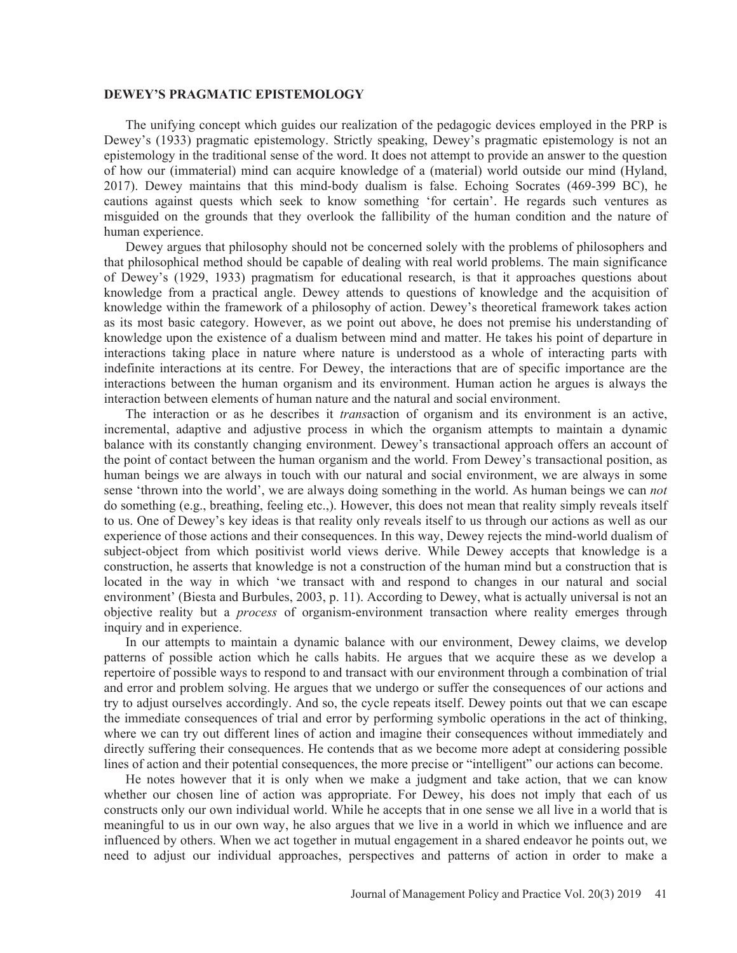#### **DEWEY'S PRAGMATIC EPISTEMOLOGY**

The unifying concept which guides our realization of the pedagogic devices employed in the PRP is Dewey's (1933) pragmatic epistemology. Strictly speaking, Dewey's pragmatic epistemology is not an epistemology in the traditional sense of the word. It does not attempt to provide an answer to the question of how our (immaterial) mind can acquire knowledge of a (material) world outside our mind (Hyland, 2017). Dewey maintains that this mind-body dualism is false. Echoing Socrates (469-399 BC), he cautions against quests which seek to know something 'for certain'. He regards such ventures as misguided on the grounds that they overlook the fallibility of the human condition and the nature of human experience.

Dewey argues that philosophy should not be concerned solely with the problems of philosophers and that philosophical method should be capable of dealing with real world problems. The main significance of Dewey's (1929, 1933) pragmatism for educational research, is that it approaches questions about knowledge from a practical angle. Dewey attends to questions of knowledge and the acquisition of knowledge within the framework of a philosophy of action. Dewey's theoretical framework takes action as its most basic category. However, as we point out above, he does not premise his understanding of knowledge upon the existence of a dualism between mind and matter. He takes his point of departure in interactions taking place in nature where nature is understood as a whole of interacting parts with indefinite interactions at its centre. For Dewey, the interactions that are of specific importance are the interactions between the human organism and its environment. Human action he argues is always the interaction between elements of human nature and the natural and social environment.

The interaction or as he describes it *trans*action of organism and its environment is an active, incremental, adaptive and adjustive process in which the organism attempts to maintain a dynamic balance with its constantly changing environment. Dewey's transactional approach offers an account of the point of contact between the human organism and the world. From Dewey's transactional position, as human beings we are always in touch with our natural and social environment, we are always in some sense 'thrown into the world', we are always doing something in the world. As human beings we can *not*  do something (e.g., breathing, feeling etc.,). However, this does not mean that reality simply reveals itself to us. One of Dewey's key ideas is that reality only reveals itself to us through our actions as well as our experience of those actions and their consequences. In this way, Dewey rejects the mind-world dualism of subject-object from which positivist world views derive. While Dewey accepts that knowledge is a construction, he asserts that knowledge is not a construction of the human mind but a construction that is located in the way in which 'we transact with and respond to changes in our natural and social environment' (Biesta and Burbules, 2003, p. 11). According to Dewey, what is actually universal is not an objective reality but a *process* of organism-environment transaction where reality emerges through inquiry and in experience.

In our attempts to maintain a dynamic balance with our environment, Dewey claims, we develop patterns of possible action which he calls habits. He argues that we acquire these as we develop a repertoire of possible ways to respond to and transact with our environment through a combination of trial and error and problem solving. He argues that we undergo or suffer the consequences of our actions and try to adjust ourselves accordingly. And so, the cycle repeats itself. Dewey points out that we can escape the immediate consequences of trial and error by performing symbolic operations in the act of thinking, where we can try out different lines of action and imagine their consequences without immediately and directly suffering their consequences. He contends that as we become more adept at considering possible lines of action and their potential consequences, the more precise or "intelligent" our actions can become.

He notes however that it is only when we make a judgment and take action, that we can know whether our chosen line of action was appropriate. For Dewey, his does not imply that each of us constructs only our own individual world. While he accepts that in one sense we all live in a world that is meaningful to us in our own way, he also argues that we live in a world in which we influence and are influenced by others. When we act together in mutual engagement in a shared endeavor he points out, we need to adjust our individual approaches, perspectives and patterns of action in order to make a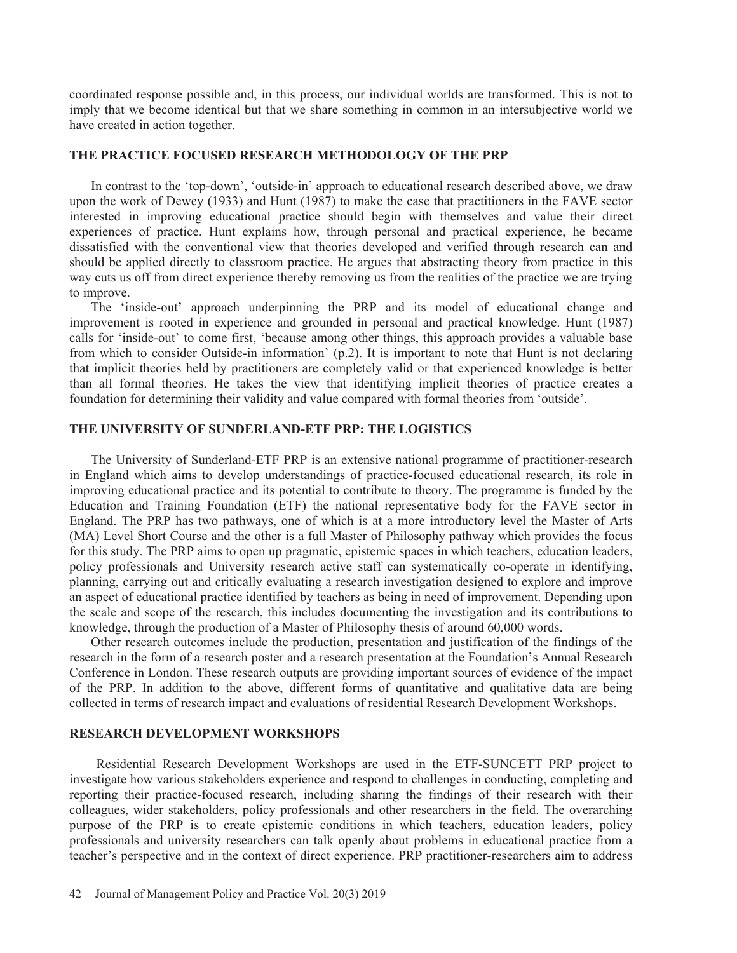coordinated response possible and, in this process, our individual worlds are transformed. This is not to imply that we become identical but that we share something in common in an intersubjective world we have created in action together.

## **THE PRACTICE FOCUSED RESEARCH METHODOLOGY OF THE PRP**

In contrast to the 'top-down', 'outside-in' approach to educational research described above, we draw upon the work of Dewey (1933) and Hunt (1987) to make the case that practitioners in the FAVE sector interested in improving educational practice should begin with themselves and value their direct experiences of practice. Hunt explains how, through personal and practical experience, he became dissatisfied with the conventional view that theories developed and verified through research can and should be applied directly to classroom practice. He argues that abstracting theory from practice in this way cuts us off from direct experience thereby removing us from the realities of the practice we are trying to improve.

The 'inside-out' approach underpinning the PRP and its model of educational change and improvement is rooted in experience and grounded in personal and practical knowledge. Hunt (1987) calls for 'inside-out' to come first, 'because among other things, this approach provides a valuable base from which to consider Outside-in information' (p.2). It is important to note that Hunt is not declaring that implicit theories held by practitioners are completely valid or that experienced knowledge is better than all formal theories. He takes the view that identifying implicit theories of practice creates a foundation for determining their validity and value compared with formal theories from 'outside'.

## **THE UNIVERSITY OF SUNDERLAND-ETF PRP: THE LOGISTICS**

The University of Sunderland-ETF PRP is an extensive national programme of practitioner-research in England which aims to develop understandings of practice-focused educational research, its role in improving educational practice and its potential to contribute to theory. The programme is funded by the Education and Training Foundation (ETF) the national representative body for the FAVE sector in England. The PRP has two pathways, one of which is at a more introductory level the Master of Arts (MA) Level Short Course and the other is a full Master of Philosophy pathway which provides the focus for this study. The PRP aims to open up pragmatic, epistemic spaces in which teachers, education leaders, policy professionals and University research active staff can systematically co-operate in identifying, planning, carrying out and critically evaluating a research investigation designed to explore and improve an aspect of educational practice identified by teachers as being in need of improvement. Depending upon the scale and scope of the research, this includes documenting the investigation and its contributions to knowledge, through the production of a Master of Philosophy thesis of around 60,000 words.

Other research outcomes include the production, presentation and justification of the findings of the research in the form of a research poster and a research presentation at the Foundation's Annual Research Conference in London. These research outputs are providing important sources of evidence of the impact of the PRP. In addition to the above, different forms of quantitative and qualitative data are being collected in terms of research impact and evaluations of residential Research Development Workshops.

# **RESEARCH DEVELOPMENT WORKSHOPS**

Residential Research Development Workshops are used in the ETF-SUNCETT PRP project to investigate how various stakeholders experience and respond to challenges in conducting, completing and reporting their practice-focused research, including sharing the findings of their research with their colleagues, wider stakeholders, policy professionals and other researchers in the field. The overarching purpose of the PRP is to create epistemic conditions in which teachers, education leaders, policy professionals and university researchers can talk openly about problems in educational practice from a teacher's perspective and in the context of direct experience. PRP practitioner-researchers aim to address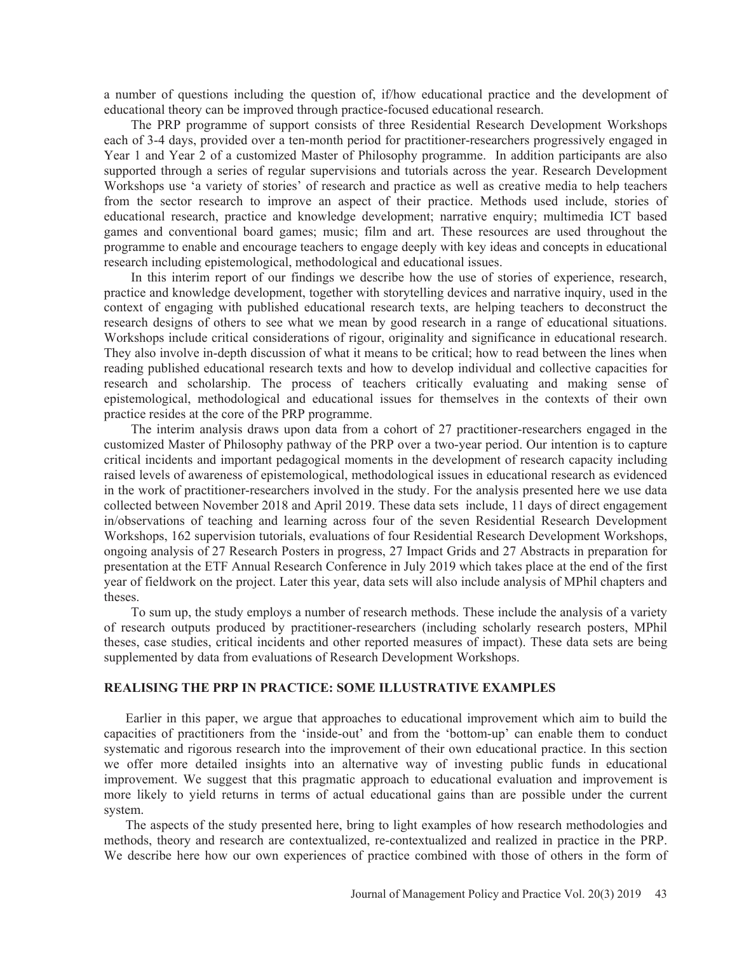a number of questions including the question of, if/how educational practice and the development of educational theory can be improved through practice-focused educational research.

The PRP programme of support consists of three Residential Research Development Workshops each of 3-4 days, provided over a ten-month period for practitioner-researchers progressively engaged in Year 1 and Year 2 of a customized Master of Philosophy programme. In addition participants are also supported through a series of regular supervisions and tutorials across the year. Research Development Workshops use 'a variety of stories' of research and practice as well as creative media to help teachers from the sector research to improve an aspect of their practice. Methods used include, stories of educational research, practice and knowledge development; narrative enquiry; multimedia ICT based games and conventional board games; music; film and art. These resources are used throughout the programme to enable and encourage teachers to engage deeply with key ideas and concepts in educational research including epistemological, methodological and educational issues.

In this interim report of our findings we describe how the use of stories of experience, research, practice and knowledge development, together with storytelling devices and narrative inquiry, used in the context of engaging with published educational research texts, are helping teachers to deconstruct the research designs of others to see what we mean by good research in a range of educational situations. Workshops include critical considerations of rigour, originality and significance in educational research. They also involve in-depth discussion of what it means to be critical; how to read between the lines when reading published educational research texts and how to develop individual and collective capacities for research and scholarship. The process of teachers critically evaluating and making sense of epistemological, methodological and educational issues for themselves in the contexts of their own practice resides at the core of the PRP programme.

The interim analysis draws upon data from a cohort of 27 practitioner-researchers engaged in the customized Master of Philosophy pathway of the PRP over a two-year period. Our intention is to capture critical incidents and important pedagogical moments in the development of research capacity including raised levels of awareness of epistemological, methodological issues in educational research as evidenced in the work of practitioner-researchers involved in the study. For the analysis presented here we use data collected between November 2018 and April 2019. These data sets include, 11 days of direct engagement in/observations of teaching and learning across four of the seven Residential Research Development Workshops, 162 supervision tutorials, evaluations of four Residential Research Development Workshops, ongoing analysis of 27 Research Posters in progress, 27 Impact Grids and 27 Abstracts in preparation for presentation at the ETF Annual Research Conference in July 2019 which takes place at the end of the first year of fieldwork on the project. Later this year, data sets will also include analysis of MPhil chapters and theses.

To sum up, the study employs a number of research methods. These include the analysis of a variety of research outputs produced by practitioner-researchers (including scholarly research posters, MPhil theses, case studies, critical incidents and other reported measures of impact). These data sets are being supplemented by data from evaluations of Research Development Workshops.

## **REALISING THE PRP IN PRACTICE: SOME ILLUSTRATIVE EXAMPLES**

Earlier in this paper, we argue that approaches to educational improvement which aim to build the capacities of practitioners from the 'inside-out' and from the 'bottom-up' can enable them to conduct systematic and rigorous research into the improvement of their own educational practice. In this section we offer more detailed insights into an alternative way of investing public funds in educational improvement. We suggest that this pragmatic approach to educational evaluation and improvement is more likely to yield returns in terms of actual educational gains than are possible under the current system.

The aspects of the study presented here, bring to light examples of how research methodologies and methods, theory and research are contextualized, re-contextualized and realized in practice in the PRP. We describe here how our own experiences of practice combined with those of others in the form of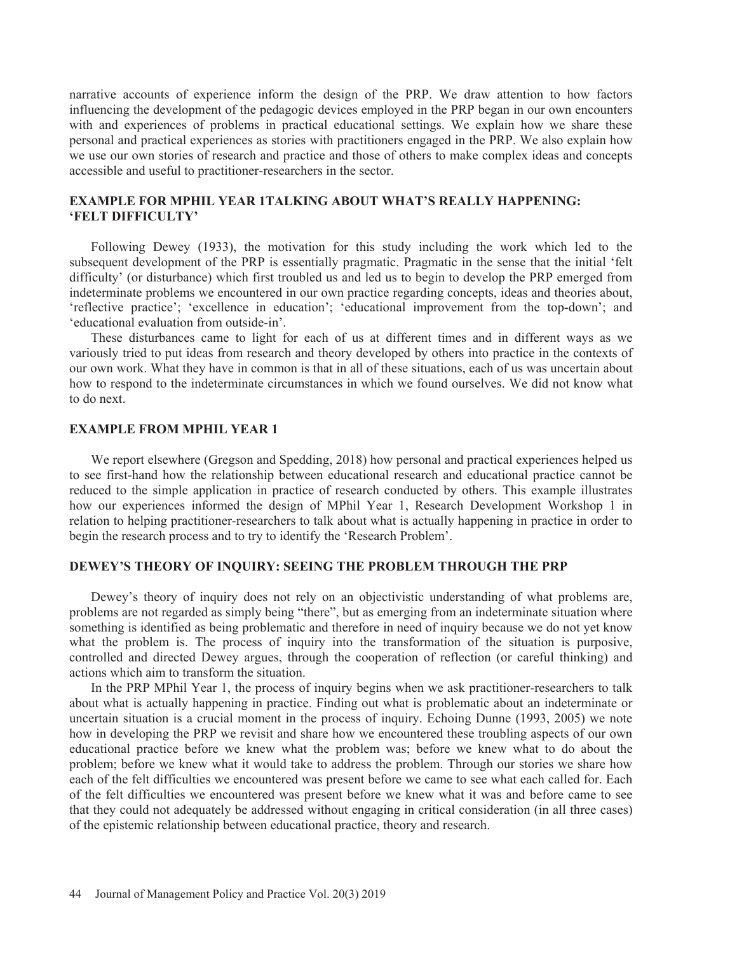narrative accounts of experience inform the design of the PRP. We draw attention to how factors influencing the development of the pedagogic devices employed in the PRP began in our own encounters with and experiences of problems in practical educational settings. We explain how we share these personal and practical experiences as stories with practitioners engaged in the PRP. We also explain how we use our own stories of research and practice and those of others to make complex ideas and concepts accessible and useful to practitioner-researchers in the sector.

# **EXAMPLE FOR MPHIL YEAR 1TALKING ABOUT WHAT'S REALLY HAPPENING: 'FELT DIFFICULTY'**

Following Dewey (1933), the motivation for this study including the work which led to the subsequent development of the PRP is essentially pragmatic. Pragmatic in the sense that the initial 'felt difficulty' (or disturbance) which first troubled us and led us to begin to develop the PRP emerged from indeterminate problems we encountered in our own practice regarding concepts, ideas and theories about, 'reflective practice'; 'excellence in education'; 'educational improvement from the top-down'; and 'educational evaluation from outside-in'.

These disturbances came to light for each of us at different times and in different ways as we variously tried to put ideas from research and theory developed by others into practice in the contexts of our own work. What they have in common is that in all of these situations, each of us was uncertain about how to respond to the indeterminate circumstances in which we found ourselves. We did not know what to do next.

# **EXAMPLE FROM MPHIL YEAR 1**

We report elsewhere (Gregson and Spedding, 2018) how personal and practical experiences helped us to see first-hand how the relationship between educational research and educational practice cannot be reduced to the simple application in practice of research conducted by others. This example illustrates how our experiences informed the design of MPhil Year 1, Research Development Workshop 1 in relation to helping practitioner-researchers to talk about what is actually happening in practice in order to begin the research process and to try to identify the 'Research Problem'.

#### **DEWEY'S THEORY OF INQUIRY: SEEING THE PROBLEM THROUGH THE PRP**

Dewey's theory of inquiry does not rely on an objectivistic understanding of what problems are, problems are not regarded as simply being "there", but as emerging from an indeterminate situation where something is identified as being problematic and therefore in need of inquiry because we do not yet know what the problem is. The process of inquiry into the transformation of the situation is purposive, controlled and directed Dewey argues, through the cooperation of reflection (or careful thinking) and actions which aim to transform the situation.

In the PRP MPhil Year 1, the process of inquiry begins when we ask practitioner-researchers to talk about what is actually happening in practice. Finding out what is problematic about an indeterminate or uncertain situation is a crucial moment in the process of inquiry. Echoing Dunne (1993, 2005) we note how in developing the PRP we revisit and share how we encountered these troubling aspects of our own educational practice before we knew what the problem was; before we knew what to do about the problem; before we knew what it would take to address the problem. Through our stories we share how each of the felt difficulties we encountered was present before we came to see what each called for. Each of the felt difficulties we encountered was present before we knew what it was and before came to see that they could not adequately be addressed without engaging in critical consideration (in all three cases) of the epistemic relationship between educational practice, theory and research.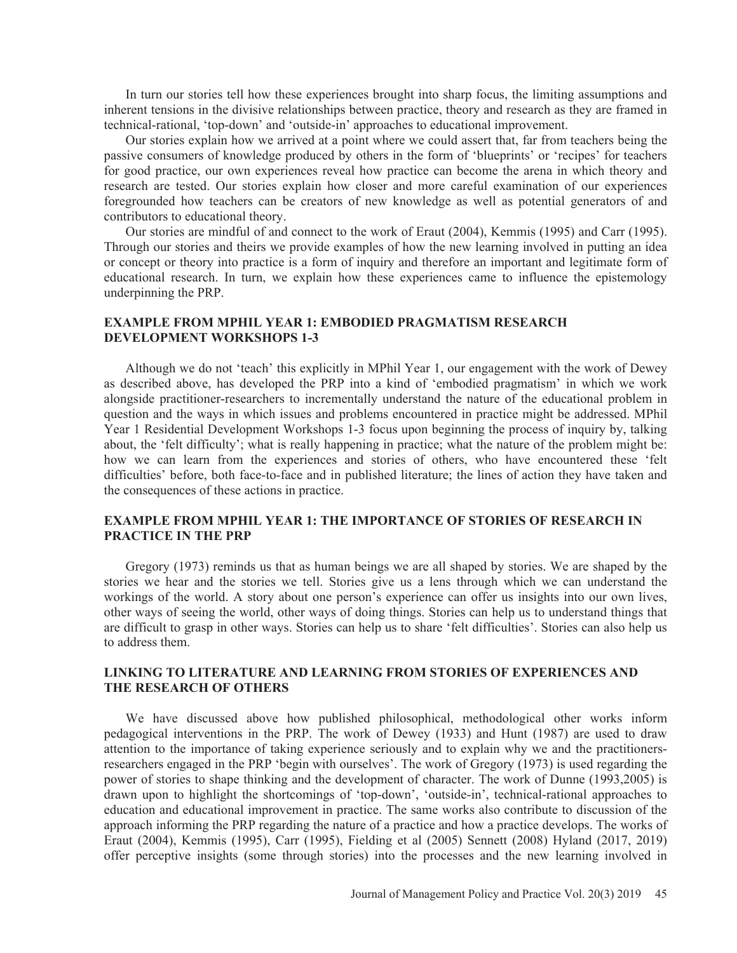In turn our stories tell how these experiences brought into sharp focus, the limiting assumptions and inherent tensions in the divisive relationships between practice, theory and research as they are framed in technical-rational, 'top-down' and 'outside-in' approaches to educational improvement.

Our stories explain how we arrived at a point where we could assert that, far from teachers being the passive consumers of knowledge produced by others in the form of 'blueprints' or 'recipes' for teachers for good practice, our own experiences reveal how practice can become the arena in which theory and research are tested. Our stories explain how closer and more careful examination of our experiences foregrounded how teachers can be creators of new knowledge as well as potential generators of and contributors to educational theory.

Our stories are mindful of and connect to the work of Eraut (2004), Kemmis (1995) and Carr (1995). Through our stories and theirs we provide examples of how the new learning involved in putting an idea or concept or theory into practice is a form of inquiry and therefore an important and legitimate form of educational research. In turn, we explain how these experiences came to influence the epistemology underpinning the PRP.

## **EXAMPLE FROM MPHIL YEAR 1: EMBODIED PRAGMATISM RESEARCH DEVELOPMENT WORKSHOPS 1-3**

Although we do not 'teach' this explicitly in MPhil Year 1, our engagement with the work of Dewey as described above, has developed the PRP into a kind of 'embodied pragmatism' in which we work alongside practitioner-researchers to incrementally understand the nature of the educational problem in question and the ways in which issues and problems encountered in practice might be addressed. MPhil Year 1 Residential Development Workshops 1-3 focus upon beginning the process of inquiry by, talking about, the 'felt difficulty'; what is really happening in practice; what the nature of the problem might be: how we can learn from the experiences and stories of others, who have encountered these 'felt difficulties' before, both face-to-face and in published literature; the lines of action they have taken and the consequences of these actions in practice.

# **EXAMPLE FROM MPHIL YEAR 1: THE IMPORTANCE OF STORIES OF RESEARCH IN PRACTICE IN THE PRP**

Gregory (1973) reminds us that as human beings we are all shaped by stories. We are shaped by the stories we hear and the stories we tell. Stories give us a lens through which we can understand the workings of the world. A story about one person's experience can offer us insights into our own lives, other ways of seeing the world, other ways of doing things. Stories can help us to understand things that are difficult to grasp in other ways. Stories can help us to share 'felt difficulties'. Stories can also help us to address them.

## **LINKING TO LITERATURE AND LEARNING FROM STORIES OF EXPERIENCES AND THE RESEARCH OF OTHERS**

We have discussed above how published philosophical, methodological other works inform pedagogical interventions in the PRP. The work of Dewey (1933) and Hunt (1987) are used to draw attention to the importance of taking experience seriously and to explain why we and the practitionersresearchers engaged in the PRP 'begin with ourselves'. The work of Gregory (1973) is used regarding the power of stories to shape thinking and the development of character. The work of Dunne (1993,2005) is drawn upon to highlight the shortcomings of 'top-down', 'outside-in', technical-rational approaches to education and educational improvement in practice. The same works also contribute to discussion of the approach informing the PRP regarding the nature of a practice and how a practice develops. The works of Eraut (2004), Kemmis (1995), Carr (1995), Fielding et al (2005) Sennett (2008) Hyland (2017, 2019) offer perceptive insights (some through stories) into the processes and the new learning involved in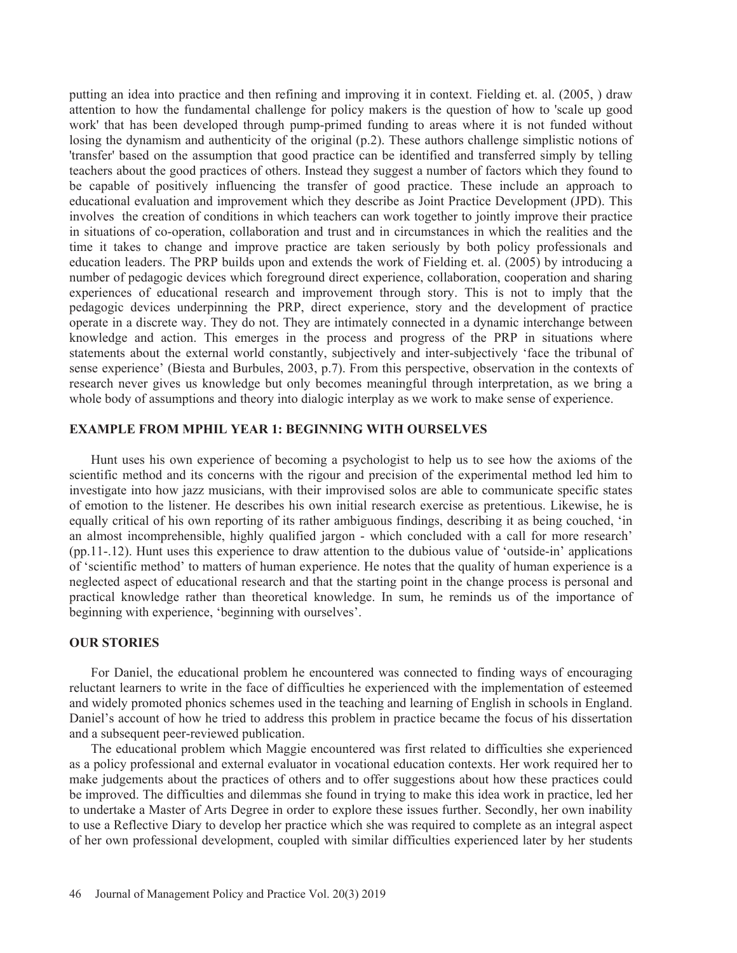putting an idea into practice and then refining and improving it in context. Fielding et. al. (2005, ) draw attention to how the fundamental challenge for policy makers is the question of how to 'scale up good work' that has been developed through pump-primed funding to areas where it is not funded without losing the dynamism and authenticity of the original (p.2). These authors challenge simplistic notions of 'transfer' based on the assumption that good practice can be identified and transferred simply by telling teachers about the good practices of others. Instead they suggest a number of factors which they found to be capable of positively influencing the transfer of good practice. These include an approach to educational evaluation and improvement which they describe as Joint Practice Development (JPD). This involves the creation of conditions in which teachers can work together to jointly improve their practice in situations of co-operation, collaboration and trust and in circumstances in which the realities and the time it takes to change and improve practice are taken seriously by both policy professionals and education leaders. The PRP builds upon and extends the work of Fielding et. al. (2005) by introducing a number of pedagogic devices which foreground direct experience, collaboration, cooperation and sharing experiences of educational research and improvement through story. This is not to imply that the pedagogic devices underpinning the PRP, direct experience, story and the development of practice operate in a discrete way. They do not. They are intimately connected in a dynamic interchange between knowledge and action. This emerges in the process and progress of the PRP in situations where statements about the external world constantly, subjectively and inter-subjectively 'face the tribunal of sense experience' (Biesta and Burbules, 2003, p.7). From this perspective, observation in the contexts of research never gives us knowledge but only becomes meaningful through interpretation, as we bring a whole body of assumptions and theory into dialogic interplay as we work to make sense of experience.

# **EXAMPLE FROM MPHIL YEAR 1: BEGINNING WITH OURSELVES**

Hunt uses his own experience of becoming a psychologist to help us to see how the axioms of the scientific method and its concerns with the rigour and precision of the experimental method led him to investigate into how jazz musicians, with their improvised solos are able to communicate specific states of emotion to the listener. He describes his own initial research exercise as pretentious. Likewise, he is equally critical of his own reporting of its rather ambiguous findings, describing it as being couched, 'in an almost incomprehensible, highly qualified jargon - which concluded with a call for more research' (pp.11-.12). Hunt uses this experience to draw attention to the dubious value of 'outside-in' applications of 'scientific method' to matters of human experience. He notes that the quality of human experience is a neglected aspect of educational research and that the starting point in the change process is personal and practical knowledge rather than theoretical knowledge. In sum, he reminds us of the importance of beginning with experience, 'beginning with ourselves'.

## **OUR STORIES**

For Daniel, the educational problem he encountered was connected to finding ways of encouraging reluctant learners to write in the face of difficulties he experienced with the implementation of esteemed and widely promoted phonics schemes used in the teaching and learning of English in schools in England. Daniel's account of how he tried to address this problem in practice became the focus of his dissertation and a subsequent peer-reviewed publication.

The educational problem which Maggie encountered was first related to difficulties she experienced as a policy professional and external evaluator in vocational education contexts. Her work required her to make judgements about the practices of others and to offer suggestions about how these practices could be improved. The difficulties and dilemmas she found in trying to make this idea work in practice, led her to undertake a Master of Arts Degree in order to explore these issues further. Secondly, her own inability to use a Reflective Diary to develop her practice which she was required to complete as an integral aspect of her own professional development, coupled with similar difficulties experienced later by her students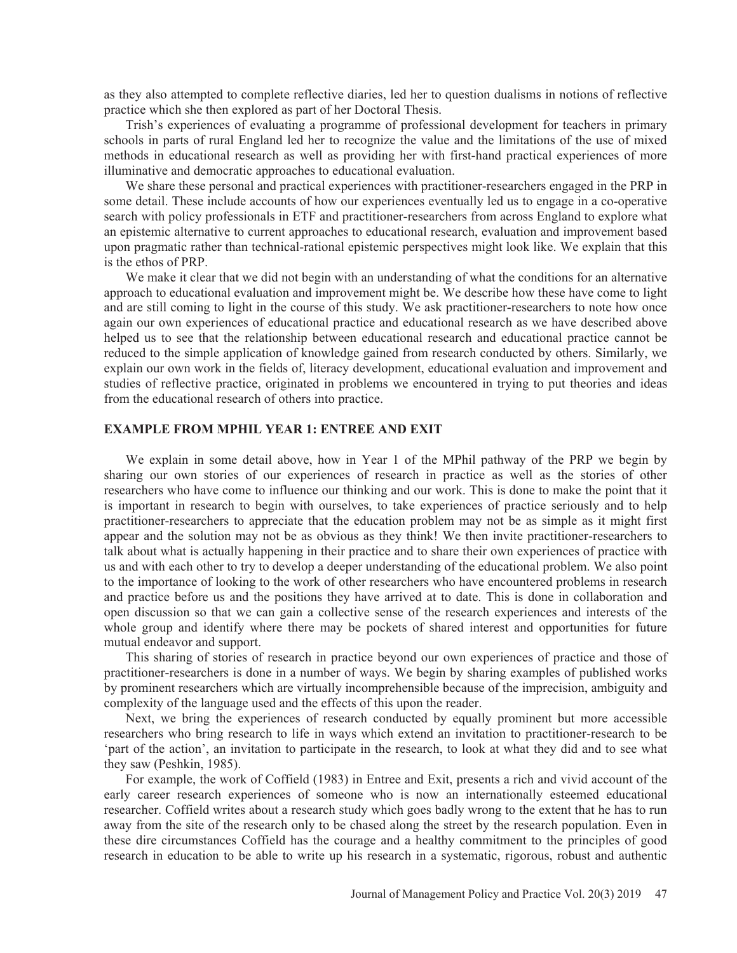as they also attempted to complete reflective diaries, led her to question dualisms in notions of reflective practice which she then explored as part of her Doctoral Thesis.

Trish's experiences of evaluating a programme of professional development for teachers in primary schools in parts of rural England led her to recognize the value and the limitations of the use of mixed methods in educational research as well as providing her with first-hand practical experiences of more illuminative and democratic approaches to educational evaluation.

We share these personal and practical experiences with practitioner-researchers engaged in the PRP in some detail. These include accounts of how our experiences eventually led us to engage in a co-operative search with policy professionals in ETF and practitioner-researchers from across England to explore what an epistemic alternative to current approaches to educational research, evaluation and improvement based upon pragmatic rather than technical-rational epistemic perspectives might look like. We explain that this is the ethos of PRP.

We make it clear that we did not begin with an understanding of what the conditions for an alternative approach to educational evaluation and improvement might be. We describe how these have come to light and are still coming to light in the course of this study. We ask practitioner-researchers to note how once again our own experiences of educational practice and educational research as we have described above helped us to see that the relationship between educational research and educational practice cannot be reduced to the simple application of knowledge gained from research conducted by others. Similarly, we explain our own work in the fields of, literacy development, educational evaluation and improvement and studies of reflective practice, originated in problems we encountered in trying to put theories and ideas from the educational research of others into practice.

# **EXAMPLE FROM MPHIL YEAR 1: ENTREE AND EXIT**

We explain in some detail above, how in Year 1 of the MPhil pathway of the PRP we begin by sharing our own stories of our experiences of research in practice as well as the stories of other researchers who have come to influence our thinking and our work. This is done to make the point that it is important in research to begin with ourselves, to take experiences of practice seriously and to help practitioner-researchers to appreciate that the education problem may not be as simple as it might first appear and the solution may not be as obvious as they think! We then invite practitioner-researchers to talk about what is actually happening in their practice and to share their own experiences of practice with us and with each other to try to develop a deeper understanding of the educational problem. We also point to the importance of looking to the work of other researchers who have encountered problems in research and practice before us and the positions they have arrived at to date. This is done in collaboration and open discussion so that we can gain a collective sense of the research experiences and interests of the whole group and identify where there may be pockets of shared interest and opportunities for future mutual endeavor and support.

This sharing of stories of research in practice beyond our own experiences of practice and those of practitioner-researchers is done in a number of ways. We begin by sharing examples of published works by prominent researchers which are virtually incomprehensible because of the imprecision, ambiguity and complexity of the language used and the effects of this upon the reader.

Next, we bring the experiences of research conducted by equally prominent but more accessible researchers who bring research to life in ways which extend an invitation to practitioner-research to be 'part of the action', an invitation to participate in the research, to look at what they did and to see what they saw (Peshkin, 1985).

For example, the work of Coffield (1983) in Entree and Exit, presents a rich and vivid account of the early career research experiences of someone who is now an internationally esteemed educational researcher. Coffield writes about a research study which goes badly wrong to the extent that he has to run away from the site of the research only to be chased along the street by the research population. Even in these dire circumstances Coffield has the courage and a healthy commitment to the principles of good research in education to be able to write up his research in a systematic, rigorous, robust and authentic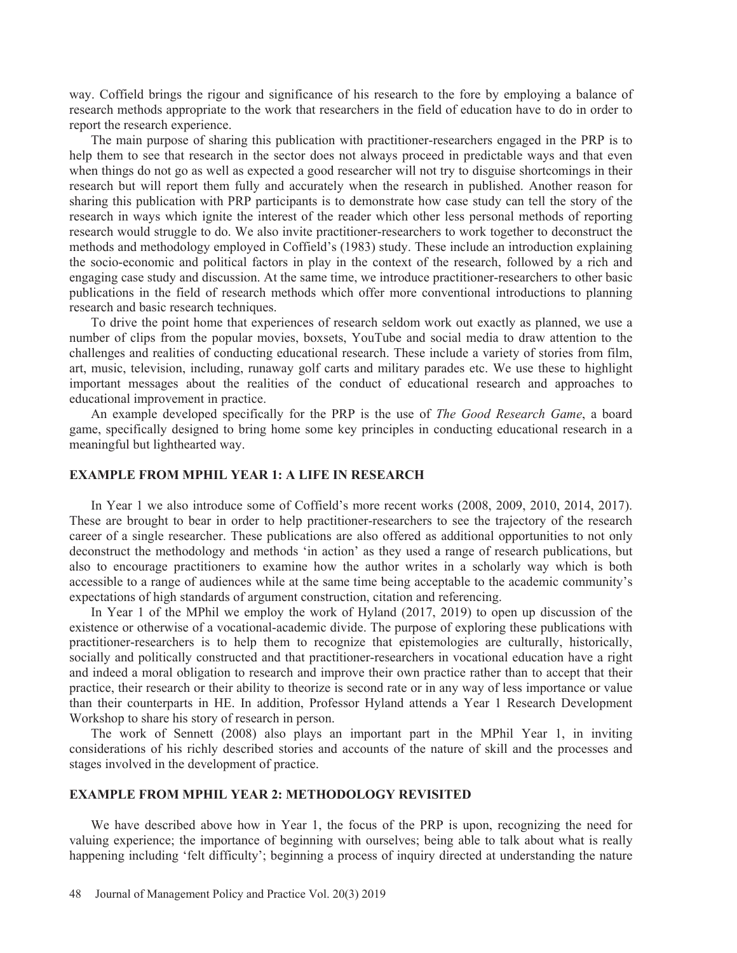way. Coffield brings the rigour and significance of his research to the fore by employing a balance of research methods appropriate to the work that researchers in the field of education have to do in order to report the research experience.

The main purpose of sharing this publication with practitioner-researchers engaged in the PRP is to help them to see that research in the sector does not always proceed in predictable ways and that even when things do not go as well as expected a good researcher will not try to disguise shortcomings in their research but will report them fully and accurately when the research in published. Another reason for sharing this publication with PRP participants is to demonstrate how case study can tell the story of the research in ways which ignite the interest of the reader which other less personal methods of reporting research would struggle to do. We also invite practitioner-researchers to work together to deconstruct the methods and methodology employed in Coffield's (1983) study. These include an introduction explaining the socio-economic and political factors in play in the context of the research, followed by a rich and engaging case study and discussion. At the same time, we introduce practitioner-researchers to other basic publications in the field of research methods which offer more conventional introductions to planning research and basic research techniques.

To drive the point home that experiences of research seldom work out exactly as planned, we use a number of clips from the popular movies, boxsets, YouTube and social media to draw attention to the challenges and realities of conducting educational research. These include a variety of stories from film, art, music, television, including, runaway golf carts and military parades etc. We use these to highlight important messages about the realities of the conduct of educational research and approaches to educational improvement in practice.

An example developed specifically for the PRP is the use of *The Good Research Game*, a board game, specifically designed to bring home some key principles in conducting educational research in a meaningful but lighthearted way.

#### **EXAMPLE FROM MPHIL YEAR 1: A LIFE IN RESEARCH**

In Year 1 we also introduce some of Coffield's more recent works (2008, 2009, 2010, 2014, 2017). These are brought to bear in order to help practitioner-researchers to see the trajectory of the research career of a single researcher. These publications are also offered as additional opportunities to not only deconstruct the methodology and methods 'in action' as they used a range of research publications, but also to encourage practitioners to examine how the author writes in a scholarly way which is both accessible to a range of audiences while at the same time being acceptable to the academic community's expectations of high standards of argument construction, citation and referencing.

In Year 1 of the MPhil we employ the work of Hyland (2017, 2019) to open up discussion of the existence or otherwise of a vocational-academic divide. The purpose of exploring these publications with practitioner-researchers is to help them to recognize that epistemologies are culturally, historically, socially and politically constructed and that practitioner-researchers in vocational education have a right and indeed a moral obligation to research and improve their own practice rather than to accept that their practice, their research or their ability to theorize is second rate or in any way of less importance or value than their counterparts in HE. In addition, Professor Hyland attends a Year 1 Research Development Workshop to share his story of research in person.

The work of Sennett (2008) also plays an important part in the MPhil Year 1, in inviting considerations of his richly described stories and accounts of the nature of skill and the processes and stages involved in the development of practice.

# **EXAMPLE FROM MPHIL YEAR 2: METHODOLOGY REVISITED**

We have described above how in Year 1, the focus of the PRP is upon, recognizing the need for valuing experience; the importance of beginning with ourselves; being able to talk about what is really happening including 'felt difficulty'; beginning a process of inquiry directed at understanding the nature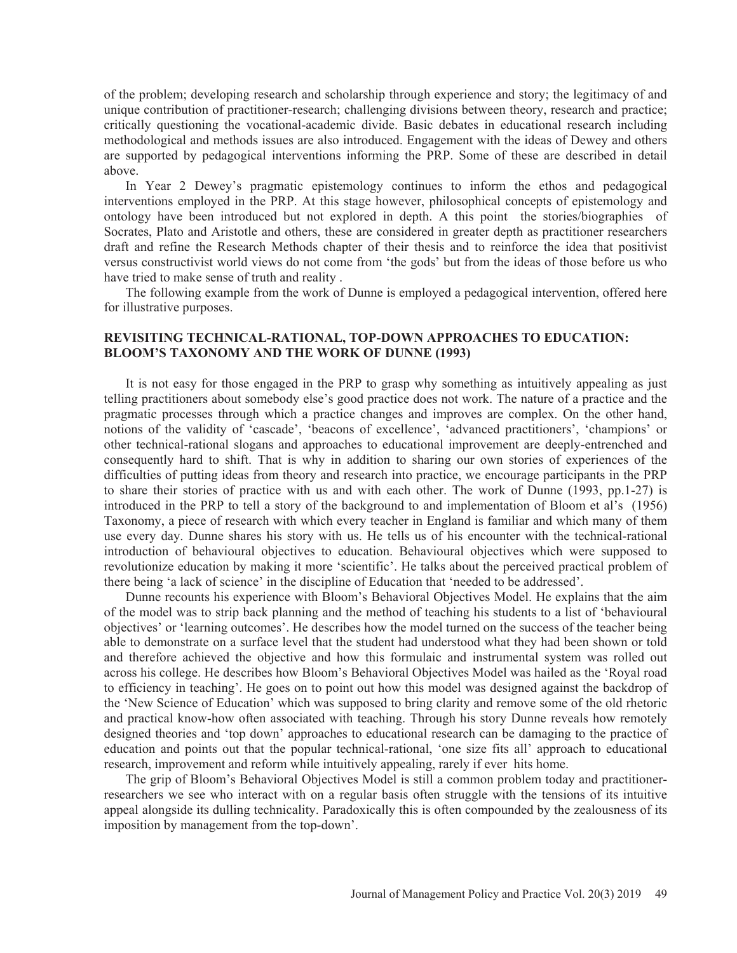of the problem; developing research and scholarship through experience and story; the legitimacy of and unique contribution of practitioner-research; challenging divisions between theory, research and practice; critically questioning the vocational-academic divide. Basic debates in educational research including methodological and methods issues are also introduced. Engagement with the ideas of Dewey and others are supported by pedagogical interventions informing the PRP. Some of these are described in detail above.

In Year 2 Dewey's pragmatic epistemology continues to inform the ethos and pedagogical interventions employed in the PRP. At this stage however, philosophical concepts of epistemology and ontology have been introduced but not explored in depth. A this point the stories/biographies of Socrates, Plato and Aristotle and others, these are considered in greater depth as practitioner researchers draft and refine the Research Methods chapter of their thesis and to reinforce the idea that positivist versus constructivist world views do not come from 'the gods' but from the ideas of those before us who have tried to make sense of truth and reality .

The following example from the work of Dunne is employed a pedagogical intervention, offered here for illustrative purposes.

## **REVISITING TECHNICAL-RATIONAL, TOP-DOWN APPROACHES TO EDUCATION: BLOOM'S TAXONOMY AND THE WORK OF DUNNE (1993)**

It is not easy for those engaged in the PRP to grasp why something as intuitively appealing as just telling practitioners about somebody else's good practice does not work. The nature of a practice and the pragmatic processes through which a practice changes and improves are complex. On the other hand, notions of the validity of 'cascade', 'beacons of excellence', 'advanced practitioners', 'champions' or other technical-rational slogans and approaches to educational improvement are deeply-entrenched and consequently hard to shift. That is why in addition to sharing our own stories of experiences of the difficulties of putting ideas from theory and research into practice, we encourage participants in the PRP to share their stories of practice with us and with each other. The work of Dunne (1993, pp.1-27) is introduced in the PRP to tell a story of the background to and implementation of Bloom et al's (1956) Taxonomy, a piece of research with which every teacher in England is familiar and which many of them use every day. Dunne shares his story with us. He tells us of his encounter with the technical-rational introduction of behavioural objectives to education. Behavioural objectives which were supposed to revolutionize education by making it more 'scientific'. He talks about the perceived practical problem of there being 'a lack of science' in the discipline of Education that 'needed to be addressed'.

Dunne recounts his experience with Bloom's Behavioral Objectives Model. He explains that the aim of the model was to strip back planning and the method of teaching his students to a list of 'behavioural objectives' or 'learning outcomes'. He describes how the model turned on the success of the teacher being able to demonstrate on a surface level that the student had understood what they had been shown or told and therefore achieved the objective and how this formulaic and instrumental system was rolled out across his college. He describes how Bloom's Behavioral Objectives Model was hailed as the 'Royal road to efficiency in teaching'. He goes on to point out how this model was designed against the backdrop of the 'New Science of Education' which was supposed to bring clarity and remove some of the old rhetoric and practical know-how often associated with teaching. Through his story Dunne reveals how remotely designed theories and 'top down' approaches to educational research can be damaging to the practice of education and points out that the popular technical-rational, 'one size fits all' approach to educational research, improvement and reform while intuitively appealing, rarely if ever hits home.

The grip of Bloom's Behavioral Objectives Model is still a common problem today and practitionerresearchers we see who interact with on a regular basis often struggle with the tensions of its intuitive appeal alongside its dulling technicality. Paradoxically this is often compounded by the zealousness of its imposition by management from the top-down'.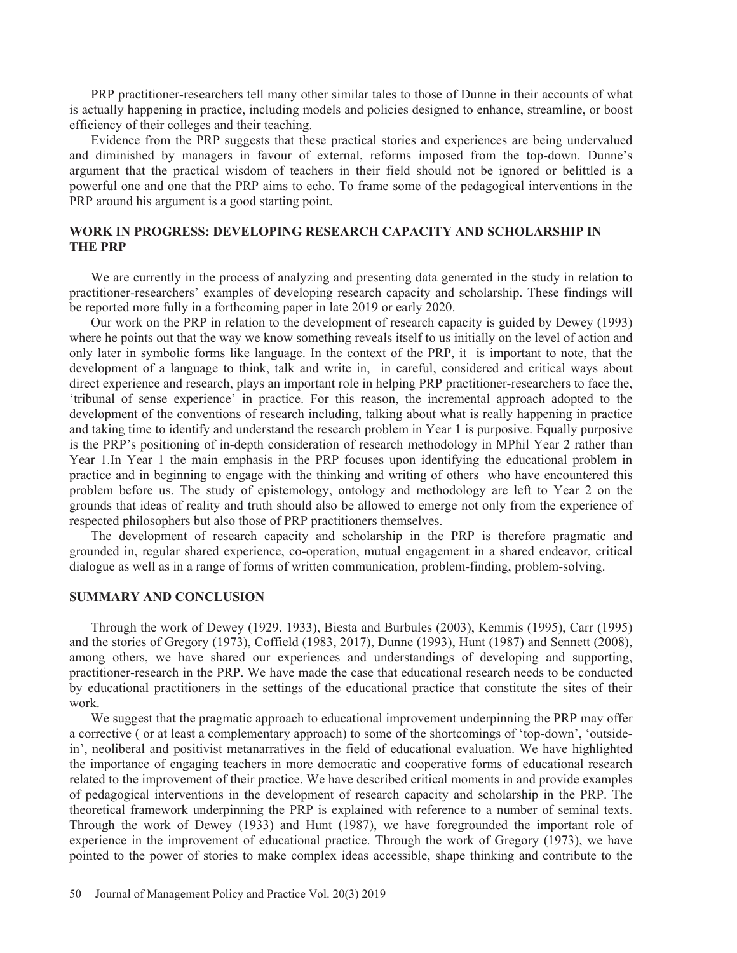PRP practitioner-researchers tell many other similar tales to those of Dunne in their accounts of what is actually happening in practice, including models and policies designed to enhance, streamline, or boost efficiency of their colleges and their teaching.

Evidence from the PRP suggests that these practical stories and experiences are being undervalued and diminished by managers in favour of external, reforms imposed from the top-down. Dunne's argument that the practical wisdom of teachers in their field should not be ignored or belittled is a powerful one and one that the PRP aims to echo. To frame some of the pedagogical interventions in the PRP around his argument is a good starting point.

# **WORK IN PROGRESS: DEVELOPING RESEARCH CAPACITY AND SCHOLARSHIP IN THE PRP**

We are currently in the process of analyzing and presenting data generated in the study in relation to practitioner-researchers' examples of developing research capacity and scholarship. These findings will be reported more fully in a forthcoming paper in late 2019 or early 2020.

Our work on the PRP in relation to the development of research capacity is guided by Dewey (1993) where he points out that the way we know something reveals itself to us initially on the level of action and only later in symbolic forms like language. In the context of the PRP, it is important to note, that the development of a language to think, talk and write in, in careful, considered and critical ways about direct experience and research, plays an important role in helping PRP practitioner-researchers to face the, 'tribunal of sense experience' in practice. For this reason, the incremental approach adopted to the development of the conventions of research including, talking about what is really happening in practice and taking time to identify and understand the research problem in Year 1 is purposive. Equally purposive is the PRP's positioning of in-depth consideration of research methodology in MPhil Year 2 rather than Year 1.In Year 1 the main emphasis in the PRP focuses upon identifying the educational problem in practice and in beginning to engage with the thinking and writing of others who have encountered this problem before us. The study of epistemology, ontology and methodology are left to Year 2 on the grounds that ideas of reality and truth should also be allowed to emerge not only from the experience of respected philosophers but also those of PRP practitioners themselves.

The development of research capacity and scholarship in the PRP is therefore pragmatic and grounded in, regular shared experience, co-operation, mutual engagement in a shared endeavor, critical dialogue as well as in a range of forms of written communication, problem-finding, problem-solving.

#### **SUMMARY AND CONCLUSION**

Through the work of Dewey (1929, 1933), Biesta and Burbules (2003), Kemmis (1995), Carr (1995) and the stories of Gregory (1973), Coffield (1983, 2017), Dunne (1993), Hunt (1987) and Sennett (2008), among others, we have shared our experiences and understandings of developing and supporting, practitioner-research in the PRP. We have made the case that educational research needs to be conducted by educational practitioners in the settings of the educational practice that constitute the sites of their work.

We suggest that the pragmatic approach to educational improvement underpinning the PRP may offer a corrective ( or at least a complementary approach) to some of the shortcomings of 'top-down', 'outsidein', neoliberal and positivist metanarratives in the field of educational evaluation. We have highlighted the importance of engaging teachers in more democratic and cooperative forms of educational research related to the improvement of their practice. We have described critical moments in and provide examples of pedagogical interventions in the development of research capacity and scholarship in the PRP. The theoretical framework underpinning the PRP is explained with reference to a number of seminal texts. Through the work of Dewey (1933) and Hunt (1987), we have foregrounded the important role of experience in the improvement of educational practice. Through the work of Gregory (1973), we have pointed to the power of stories to make complex ideas accessible, shape thinking and contribute to the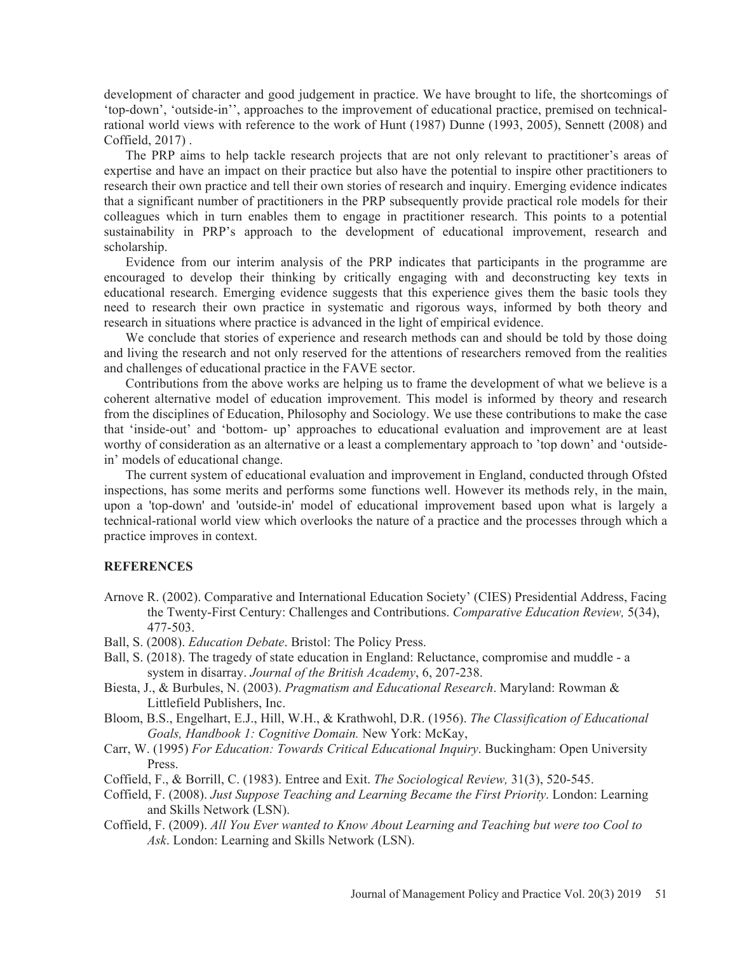development of character and good judgement in practice. We have brought to life, the shortcomings of 'top-down', 'outside-in'', approaches to the improvement of educational practice, premised on technicalrational world views with reference to the work of Hunt (1987) Dunne (1993, 2005), Sennett (2008) and Coffield, 2017) .

The PRP aims to help tackle research projects that are not only relevant to practitioner's areas of expertise and have an impact on their practice but also have the potential to inspire other practitioners to research their own practice and tell their own stories of research and inquiry. Emerging evidence indicates that a significant number of practitioners in the PRP subsequently provide practical role models for their colleagues which in turn enables them to engage in practitioner research. This points to a potential sustainability in PRP's approach to the development of educational improvement, research and scholarship.

Evidence from our interim analysis of the PRP indicates that participants in the programme are encouraged to develop their thinking by critically engaging with and deconstructing key texts in educational research. Emerging evidence suggests that this experience gives them the basic tools they need to research their own practice in systematic and rigorous ways, informed by both theory and research in situations where practice is advanced in the light of empirical evidence.

We conclude that stories of experience and research methods can and should be told by those doing and living the research and not only reserved for the attentions of researchers removed from the realities and challenges of educational practice in the FAVE sector.

Contributions from the above works are helping us to frame the development of what we believe is a coherent alternative model of education improvement. This model is informed by theory and research from the disciplines of Education, Philosophy and Sociology. We use these contributions to make the case that 'inside-out' and 'bottom- up' approaches to educational evaluation and improvement are at least worthy of consideration as an alternative or a least a complementary approach to 'top down' and 'outsidein' models of educational change.

The current system of educational evaluation and improvement in England, conducted through Ofsted inspections, has some merits and performs some functions well. However its methods rely, in the main, upon a 'top-down' and 'outside-in' model of educational improvement based upon what is largely a technical-rational world view which overlooks the nature of a practice and the processes through which a practice improves in context.

## **REFERENCES**

- Arnove R. (2002). Comparative and International Education Society' (CIES) Presidential Address, Facing the Twenty-First Century: Challenges and Contributions. *Comparative Education Review,* 5(34), 477-503.
- Ball, S. (2008). *Education Debate*. Bristol: The Policy Press.
- Ball, S. (2018). The tragedy of state education in England: Reluctance, compromise and muddle a system in disarray. *Journal of the British Academy*, 6, 207-238.
- Biesta, J., & Burbules, N. (2003). *Pragmatism and Educational Research*. Maryland: Rowman & Littlefield Publishers, Inc.
- Bloom, B.S., Engelhart, E.J., Hill, W.H., & Krathwohl, D.R. (1956). *The Classification of Educational Goals, Handbook 1: Cognitive Domain.* New York: McKay,
- Carr, W. (1995) *For Education: Towards Critical Educational Inquiry*. Buckingham: Open University Press.
- Coffield, F., & Borrill, C. (1983). Entree and Exit. *The Sociological Review,* 31(3), 520-545.
- Coffield, F. (2008). *Just Suppose Teaching and Learning Became the First Priority*. London: Learning and Skills Network (LSN).
- Coffield, F. (2009). *All You Ever wanted to Know About Learning and Teaching but were too Cool to Ask*. London: Learning and Skills Network (LSN).